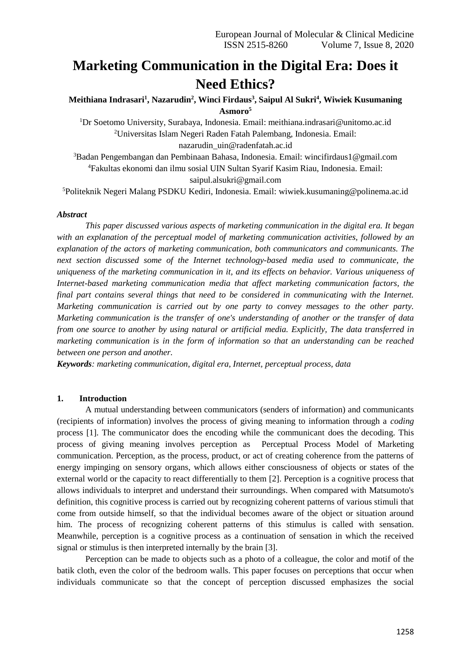# **Marketing Communication in the Digital Era: Does it Need Ethics?**

# **Meithiana Indrasari<sup>1</sup> , Nazarudin<sup>2</sup> , Winci Firdaus<sup>3</sup> , Saipul Al Sukri<sup>4</sup> , Wiwiek Kusumaning Asmoro<sup>5</sup>**

<sup>1</sup>Dr Soetomo University, Surabaya, Indonesia. Email: meithiana.indrasari@unitomo.ac.id <sup>2</sup>Universitas Islam Negeri Raden Fatah Palembang, Indonesia. Email:

nazarudin\_uin@radenfatah.ac.id

<sup>3</sup>Badan Pengembangan dan Pembinaan Bahasa, Indonesia. Email: wincifirdaus1@gmail.com <sup>4</sup>Fakultas ekonomi dan ilmu sosial UIN Sultan Syarif Kasim Riau, Indonesia. Email: saipul.alsukri@gmail.com

<sup>5</sup>Politeknik Negeri Malang PSDKU Kediri, Indonesia. Email: [wiwiek.kusumaning@polinema.ac.id](mailto:wiwiek.kusumaning@polinema.ac.id)

## *Abstract*

*This paper discussed various aspects of marketing communication in the digital era. It began with an explanation of the perceptual model of marketing communication activities, followed by an explanation of the actors of marketing communication, both communicators and communicants. The next section discussed some of the Internet technology-based media used to communicate, the uniqueness of the marketing communication in it, and its effects on behavior. Various uniqueness of Internet-based marketing communication media that affect marketing communication factors, the final part contains several things that need to be considered in communicating with the Internet. Marketing communication is carried out by one party to convey messages to the other party. Marketing communication is the transfer of one's understanding of another or the transfer of data from one source to another by using natural or artificial media. Explicitly, The data transferred in marketing communication is in the form of information so that an understanding can be reached between one person and another.*

*Keywords: marketing communication, digital era, Internet, perceptual process, data*

## **1. Introduction**

A mutual understanding between communicators (senders of information) and communicants (recipients of information) involves the process of giving meaning to information through a *coding* process [1]. The communicator does the encoding while the communicant does the decoding. This process of giving meaning involves perception as Perceptual Process Model of Marketing communication. Perception, as the process, product, or act of creating coherence from the patterns of energy impinging on sensory organs, which allows either consciousness of objects or states of the external world or the capacity to react differentially to them [2]. Perception is a cognitive process that allows individuals to interpret and understand their surroundings. When compared with Matsumoto's definition, this cognitive process is carried out by recognizing coherent patterns of various stimuli that come from outside himself, so that the individual becomes aware of the object or situation around him. The process of recognizing coherent patterns of this stimulus is called with sensation. Meanwhile, perception is a cognitive process as a continuation of sensation in which the received signal or stimulus is then interpreted internally by the brain [3].

Perception can be made to objects such as a photo of a colleague, the color and motif of the batik cloth, even the color of the bedroom walls. This paper focuses on perceptions that occur when individuals communicate so that the concept of perception discussed emphasizes the social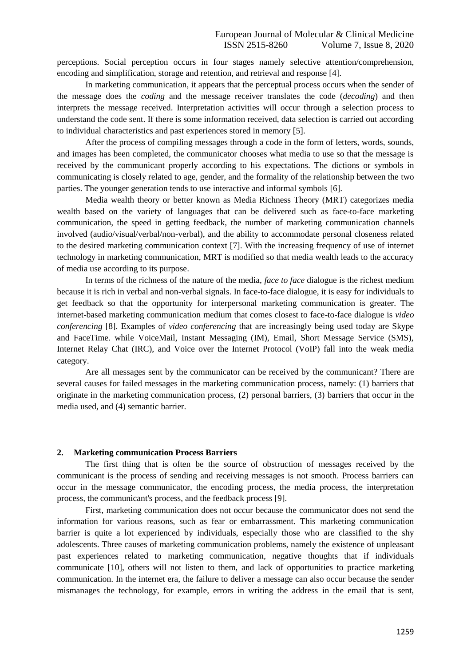perceptions. Social perception occurs in four stages namely selective attention/comprehension, encoding and simplification, storage and retention, and retrieval and response [4].

In marketing communication, it appears that the perceptual process occurs when the sender of the message does the *coding* and the message receiver translates the code (*decoding*) and then interprets the message received. Interpretation activities will occur through a selection process to understand the code sent. If there is some information received, data selection is carried out according to individual characteristics and past experiences stored in memory [5].

After the process of compiling messages through a code in the form of letters, words, sounds, and images has been completed, the communicator chooses what media to use so that the message is received by the communicant properly according to his expectations. The dictions or symbols in communicating is closely related to age, gender, and the formality of the relationship between the two parties. The younger generation tends to use interactive and informal symbols [6].

Media wealth theory or better known as Media Richness Theory (MRT) categorizes media wealth based on the variety of languages that can be delivered such as face-to-face marketing communication, the speed in getting feedback, the number of marketing communication channels involved (audio/visual/verbal/non-verbal), and the ability to accommodate personal closeness related to the desired marketing communication context [7]. With the increasing frequency of use of internet technology in marketing communication, MRT is modified so that media wealth leads to the accuracy of media use according to its purpose.

In terms of the richness of the nature of the media, *face to face* dialogue is the richest medium because it is rich in verbal and non-verbal signals. In face-to-face dialogue, it is easy for individuals to get feedback so that the opportunity for interpersonal marketing communication is greater. The internet-based marketing communication medium that comes closest to face-to-face dialogue is *video conferencing* [8]. Examples of *video conferencing* that are increasingly being used today are Skype and FaceTime. while VoiceMail, Instant Messaging (IM), Email, Short Message Service (SMS), Internet Relay Chat (IRC), and Voice over the Internet Protocol (VoIP) fall into the weak media category.

Are all messages sent by the communicator can be received by the communicant? There are several causes for failed messages in the marketing communication process, namely: (1) barriers that originate in the marketing communication process, (2) personal barriers, (3) barriers that occur in the media used, and (4) semantic barrier.

#### **2. Marketing communication Process Barriers**

The first thing that is often be the source of obstruction of messages received by the communicant is the process of sending and receiving messages is not smooth. Process barriers can occur in the message communicator, the encoding process, the media process, the interpretation process, the communicant's process, and the feedback process [9].

First, marketing communication does not occur because the communicator does not send the information for various reasons, such as fear or embarrassment. This marketing communication barrier is quite a lot experienced by individuals, especially those who are classified to the shy adolescents. Three causes of marketing communication problems, namely the existence of unpleasant past experiences related to marketing communication, negative thoughts that if individuals communicate [10], others will not listen to them, and lack of opportunities to practice marketing communication. In the internet era, the failure to deliver a message can also occur because the sender mismanages the technology, for example, errors in writing the address in the email that is sent,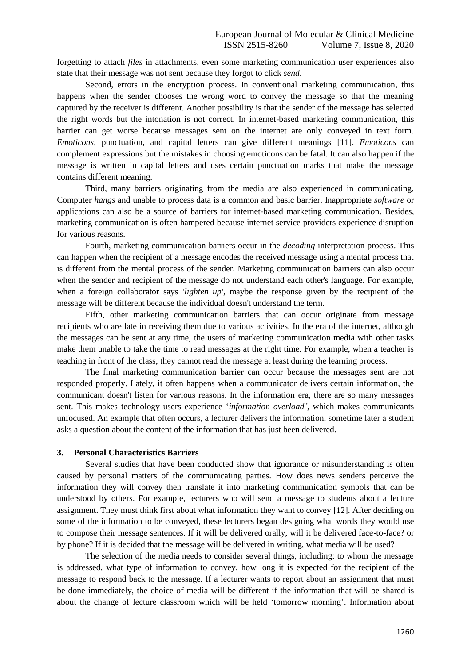forgetting to attach *files* in attachments, even some marketing communication user experiences also state that their message was not sent because they forgot to click *send*.

Second, errors in the encryption process. In conventional marketing communication, this happens when the sender chooses the wrong word to convey the message so that the meaning captured by the receiver is different. Another possibility is that the sender of the message has selected the right words but the intonation is not correct. In internet-based marketing communication, this barrier can get worse because messages sent on the internet are only conveyed in text form. *Emoticons*, punctuation, and capital letters can give different meanings [11]. *Emoticons* can complement expressions but the mistakes in choosing emoticons can be fatal. It can also happen if the message is written in capital letters and uses certain punctuation marks that make the message contains different meaning.

Third, many barriers originating from the media are also experienced in communicating. Computer *hangs* and unable to process data is a common and basic barrier. Inappropriate *software* or applications can also be a source of barriers for internet-based marketing communication. Besides, marketing communication is often hampered because internet service providers experience disruption for various reasons.

Fourth, marketing communication barriers occur in the *decoding* interpretation process. This can happen when the recipient of a message encodes the received message using a mental process that is different from the mental process of the sender. Marketing communication barriers can also occur when the sender and recipient of the message do not understand each other's language. For example, when a foreign collaborator says *'lighten up'*, maybe the response given by the recipient of the message will be different because the individual doesn't understand the term.

Fifth, other marketing communication barriers that can occur originate from message recipients who are late in receiving them due to various activities. In the era of the internet, although the messages can be sent at any time, the users of marketing communication media with other tasks make them unable to take the time to read messages at the right time. For example, when a teacher is teaching in front of the class, they cannot read the message at least during the learning process.

The final marketing communication barrier can occur because the messages sent are not responded properly. Lately, it often happens when a communicator delivers certain information, the communicant doesn't listen for various reasons. In the information era, there are so many messages sent. This makes technology users experience '*information overload'*, which makes communicants unfocused. An example that often occurs, a lecturer delivers the information, sometime later a student asks a question about the content of the information that has just been delivered.

#### **3. Personal Characteristics Barriers**

Several studies that have been conducted show that ignorance or misunderstanding is often caused by personal matters of the communicating parties. How does news senders perceive the information they will convey then translate it into marketing communication symbols that can be understood by others. For example, lecturers who will send a message to students about a lecture assignment. They must think first about what information they want to convey [12]. After deciding on some of the information to be conveyed, these lecturers began designing what words they would use to compose their message sentences. If it will be delivered orally, will it be delivered face-to-face? or by phone? If it is decided that the message will be delivered in writing, what media will be used?

The selection of the media needs to consider several things, including: to whom the message is addressed, what type of information to convey, how long it is expected for the recipient of the message to respond back to the message. If a lecturer wants to report about an assignment that must be done immediately, the choice of media will be different if the information that will be shared is about the change of lecture classroom which will be held 'tomorrow morning'. Information about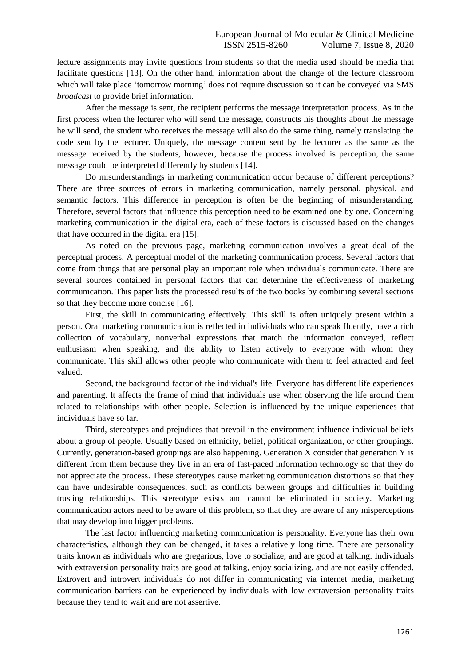lecture assignments may invite questions from students so that the media used should be media that facilitate questions [13]. On the other hand, information about the change of the lecture classroom which will take place 'tomorrow morning' does not require discussion so it can be conveyed via SMS *broadcast* to provide brief information.

After the message is sent, the recipient performs the message interpretation process. As in the first process when the lecturer who will send the message, constructs his thoughts about the message he will send, the student who receives the message will also do the same thing, namely translating the code sent by the lecturer. Uniquely, the message content sent by the lecturer as the same as the message received by the students, however, because the process involved is perception, the same message could be interpreted differently by students [14].

Do misunderstandings in marketing communication occur because of different perceptions? There are three sources of errors in marketing communication, namely personal, physical, and semantic factors. This difference in perception is often be the beginning of misunderstanding. Therefore, several factors that influence this perception need to be examined one by one. Concerning marketing communication in the digital era, each of these factors is discussed based on the changes that have occurred in the digital era [15].

As noted on the previous page, marketing communication involves a great deal of the perceptual process. A perceptual model of the marketing communication process. Several factors that come from things that are personal play an important role when individuals communicate. There are several sources contained in personal factors that can determine the effectiveness of marketing communication. This paper lists the processed results of the two books by combining several sections so that they become more concise [16].

First, the skill in communicating effectively. This skill is often uniquely present within a person. Oral marketing communication is reflected in individuals who can speak fluently, have a rich collection of vocabulary, nonverbal expressions that match the information conveyed, reflect enthusiasm when speaking, and the ability to listen actively to everyone with whom they communicate. This skill allows other people who communicate with them to feel attracted and feel valued.

Second, the background factor of the individual's life. Everyone has different life experiences and parenting. It affects the frame of mind that individuals use when observing the life around them related to relationships with other people. Selection is influenced by the unique experiences that individuals have so far.

Third, stereotypes and prejudices that prevail in the environment influence individual beliefs about a group of people. Usually based on ethnicity, belief, political organization, or other groupings. Currently, generation-based groupings are also happening. Generation X consider that generation Y is different from them because they live in an era of fast-paced information technology so that they do not appreciate the process. These stereotypes cause marketing communication distortions so that they can have undesirable consequences, such as conflicts between groups and difficulties in building trusting relationships. This stereotype exists and cannot be eliminated in society. Marketing communication actors need to be aware of this problem, so that they are aware of any misperceptions that may develop into bigger problems.

The last factor influencing marketing communication is personality. Everyone has their own characteristics, although they can be changed, it takes a relatively long time. There are personality traits known as individuals who are gregarious, love to socialize, and are good at talking. Individuals with extraversion personality traits are good at talking, enjoy socializing, and are not easily offended. Extrovert and introvert individuals do not differ in communicating via internet media, marketing communication barriers can be experienced by individuals with low extraversion personality traits because they tend to wait and are not assertive.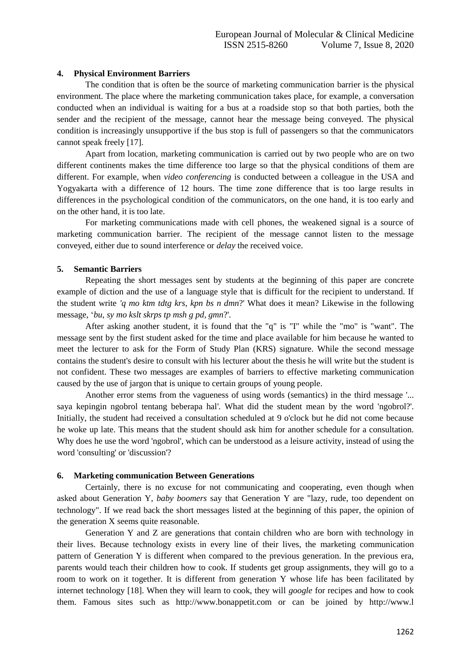### **4. Physical Environment Barriers**

The condition that is often be the source of marketing communication barrier is the physical environment. The place where the marketing communication takes place, for example, a conversation conducted when an individual is waiting for a bus at a roadside stop so that both parties, both the sender and the recipient of the message, cannot hear the message being conveyed. The physical condition is increasingly unsupportive if the bus stop is full of passengers so that the communicators cannot speak freely [17].

Apart from location, marketing communication is carried out by two people who are on two different continents makes the time difference too large so that the physical conditions of them are different. For example, when *video conferencing* is conducted between a colleague in the USA and Yogyakarta with a difference of 12 hours. The time zone difference that is too large results in differences in the psychological condition of the communicators, on the one hand, it is too early and on the other hand, it is too late.

For marketing communications made with cell phones, the weakened signal is a source of marketing communication barrier. The recipient of the message cannot listen to the message conveyed, either due to sound interference or *delay* the received voice.

#### **5. Semantic Barriers**

Repeating the short messages sent by students at the beginning of this paper are concrete example of diction and the use of a language style that is difficult for the recipient to understand. If the student write *'q mo ktm tdtg krs, kpn bs n dmn*?' What does it mean? Likewise in the following message, '*bu, sy mo kslt skrps tp msh g pd, gmn*?'.

After asking another student, it is found that the "q" is "I" while the "mo" is "want". The message sent by the first student asked for the time and place available for him because he wanted to meet the lecturer to ask for the Form of Study Plan (KRS) signature. While the second message contains the student's desire to consult with his lecturer about the thesis he will write but the student is not confident. These two messages are examples of barriers to effective marketing communication caused by the use of jargon that is unique to certain groups of young people.

Another error stems from the vagueness of using words (semantics) in the third message '... saya kepingin ngobrol tentang beberapa hal'. What did the student mean by the word 'ngobrol?'. Initially, the student had received a consultation scheduled at 9 o'clock but he did not come because he woke up late. This means that the student should ask him for another schedule for a consultation. Why does he use the word 'ngobrol', which can be understood as a leisure activity, instead of using the word 'consulting' or 'discussion'?

#### **6. Marketing communication Between Generations**

Certainly, there is no excuse for not communicating and cooperating, even though when asked about Generation Y, *baby boomers* say that Generation Y are "lazy, rude, too dependent on technology". If we read back the short messages listed at the beginning of this paper, the opinion of the generation X seems quite reasonable.

Generation Y and Z are generations that contain children who are born with technology in their lives. Because technology exists in every line of their lives, the marketing communication pattern of Generation Y is different when compared to the previous generation. In the previous era, parents would teach their children how to cook. If students get group assignments, they will go to a room to work on it together. It is different from generation Y whose life has been facilitated by internet technology [18]. When they will learn to cook, they will *google* for recipes and how to cook them. Famous sites such as http://www.bonappetit.com or can be joined by http://www.l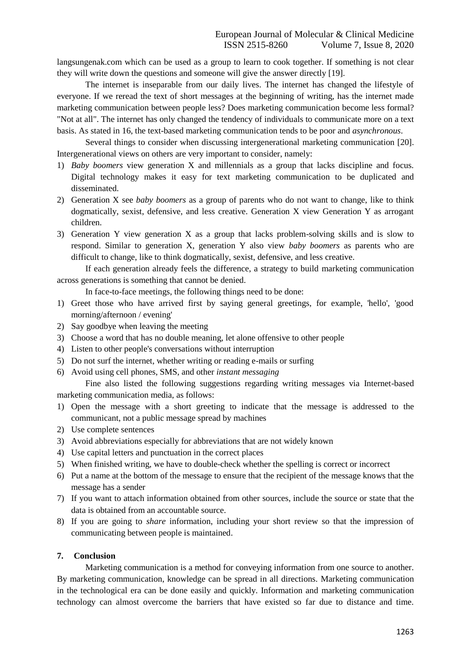langsungenak.com which can be used as a group to learn to cook together. If something is not clear they will write down the questions and someone will give the answer directly [19].

The internet is inseparable from our daily lives. The internet has changed the lifestyle of everyone. If we reread the text of short messages at the beginning of writing, has the internet made marketing communication between people less? Does marketing communication become less formal? "Not at all". The internet has only changed the tendency of individuals to communicate more on a text basis. As stated in 16, the text-based marketing communication tends to be poor and *asynchronous*.

Several things to consider when discussing intergenerational marketing communication [20]. Intergenerational views on others are very important to consider, namely:

- 1) *Baby boomers* view generation X and millennials as a group that lacks discipline and focus. Digital technology makes it easy for text marketing communication to be duplicated and disseminated.
- 2) Generation X see *baby boomers* as a group of parents who do not want to change, like to think dogmatically, sexist, defensive, and less creative. Generation X view Generation Y as arrogant children.
- 3) Generation Y view generation X as a group that lacks problem-solving skills and is slow to respond. Similar to generation X, generation Y also view *baby boomers* as parents who are difficult to change, like to think dogmatically, sexist, defensive, and less creative.

If each generation already feels the difference, a strategy to build marketing communication across generations is something that cannot be denied.

In face-to-face meetings, the following things need to be done:

- 1) Greet those who have arrived first by saying general greetings, for example, 'hello', 'good morning/afternoon / evening'
- 2) Say goodbye when leaving the meeting
- 3) Choose a word that has no double meaning, let alone offensive to other people
- 4) Listen to other people's conversations without interruption
- 5) Do not surf the internet, whether writing or reading e-mails or surfing
- 6) Avoid using cell phones, SMS, and other *instant messaging*

Fine also listed the following suggestions regarding writing messages via Internet-based marketing communication media, as follows:

- 1) Open the message with a short greeting to indicate that the message is addressed to the communicant, not a public message spread by machines
- 2) Use complete sentences
- 3) Avoid abbreviations especially for abbreviations that are not widely known
- 4) Use capital letters and punctuation in the correct places
- 5) When finished writing, we have to double-check whether the spelling is correct or incorrect
- 6) Put a name at the bottom of the message to ensure that the recipient of the message knows that the message has a sender
- 7) If you want to attach information obtained from other sources, include the source or state that the data is obtained from an accountable source.
- 8) If you are going to *share* information, including your short review so that the impression of communicating between people is maintained.

## **7. Conclusion**

Marketing communication is a method for conveying information from one source to another. By marketing communication, knowledge can be spread in all directions. Marketing communication in the technological era can be done easily and quickly. Information and marketing communication technology can almost overcome the barriers that have existed so far due to distance and time.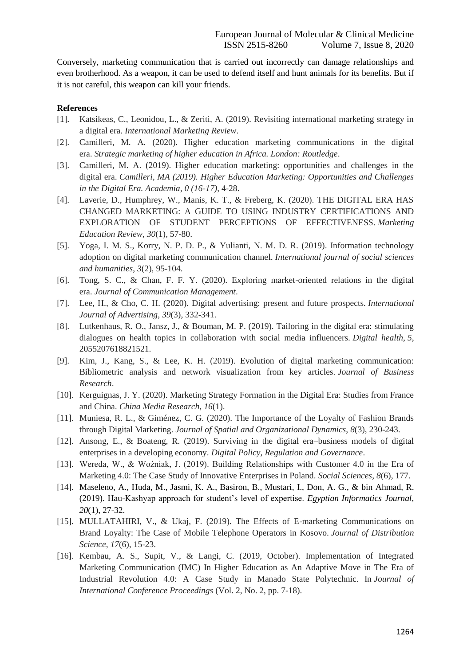Conversely, marketing communication that is carried out incorrectly can damage relationships and even brotherhood. As a weapon, it can be used to defend itself and hunt animals for its benefits. But if it is not careful, this weapon can kill your friends.

## **References**

- [1]. Katsikeas, C., Leonidou, L., & Zeriti, A. (2019). Revisiting international marketing strategy in a digital era. *International Marketing Review*.
- [2]. Camilleri, M. A. (2020). Higher education marketing communications in the digital era. *Strategic marketing of higher education in Africa. London: Routledge*.
- [3]. Camilleri, M. A. (2019). Higher education marketing: opportunities and challenges in the digital era. *Camilleri, MA (2019). Higher Education Marketing: Opportunities and Challenges in the Digital Era. Academia, 0 (16-17)*, 4-28.
- [4]. Laverie, D., Humphrey, W., Manis, K. T., & Freberg, K. (2020). THE DIGITAL ERA HAS CHANGED MARKETING: A GUIDE TO USING INDUSTRY CERTIFICATIONS AND EXPLORATION OF STUDENT PERCEPTIONS OF EFFECTIVENESS. *Marketing Education Review*, *30*(1), 57-80.
- [5]. Yoga, I. M. S., Korry, N. P. D. P., & Yulianti, N. M. D. R. (2019). Information technology adoption on digital marketing communication channel. *International journal of social sciences and humanities*, *3*(2), 95-104.
- [6]. Tong, S. C., & Chan, F. F. Y. (2020). Exploring market-oriented relations in the digital era. *Journal of Communication Management*.
- [7]. Lee, H., & Cho, C. H. (2020). Digital advertising: present and future prospects. *International Journal of Advertising*, *39*(3), 332-341.
- [8]. Lutkenhaus, R. O., Jansz, J., & Bouman, M. P. (2019). Tailoring in the digital era: stimulating dialogues on health topics in collaboration with social media influencers. *Digital health*, *5*, 2055207618821521.
- [9]. Kim, J., Kang, S., & Lee, K. H. (2019). Evolution of digital marketing communication: Bibliometric analysis and network visualization from key articles. *Journal of Business Research*.
- [10]. Kerguignas, J. Y. (2020). Marketing Strategy Formation in the Digital Era: Studies from France and China. *China Media Research*, *16*(1).
- [11]. Muniesa, R. L., & Giménez, C. G. (2020). The Importance of the Loyalty of Fashion Brands through Digital Marketing. *Journal of Spatial and Organizational Dynamics*, *8*(3), 230-243.
- [12]. Ansong, E., & Boateng, R. (2019). Surviving in the digital era–business models of digital enterprises in a developing economy. *Digital Policy, Regulation and Governance*.
- [13]. Wereda, W., & Woźniak, J. (2019). Building Relationships with Customer 4.0 in the Era of Marketing 4.0: The Case Study of Innovative Enterprises in Poland. *Social Sciences*, *8*(6), 177.
- [14]. Maseleno, A., Huda, M., Jasmi, K. A., Basiron, B., Mustari, I., Don, A. G., & bin Ahmad, R. (2019). Hau-Kashyap approach for student's level of expertise. *Egyptian Informatics Journal*, *20*(1), 27-32.
- [15]. MULLATAHIRI, V., & Ukaj, F. (2019). The Effects of E-marketing Communications on Brand Loyalty: The Case of Mobile Telephone Operators in Kosovo. *Journal of Distribution Science*, *17*(6), 15-23.
- [16]. Kembau, A. S., Supit, V., & Langi, C. (2019, October). Implementation of Integrated Marketing Communication (IMC) In Higher Education as An Adaptive Move in The Era of Industrial Revolution 4.0: A Case Study in Manado State Polytechnic. In *Journal of International Conference Proceedings* (Vol. 2, No. 2, pp. 7-18).